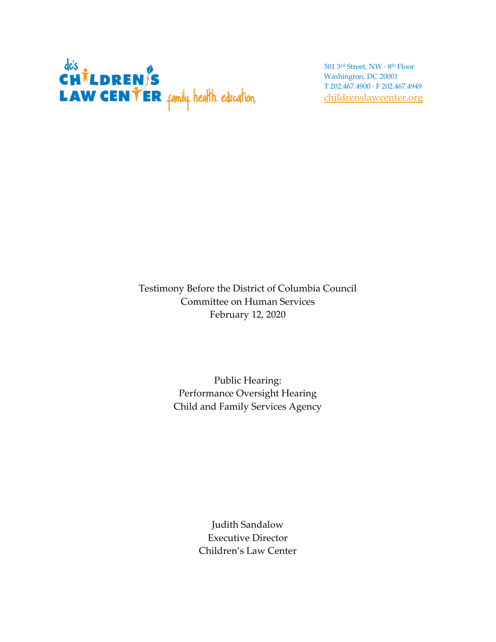

501 3rd Street, NW · 8th Floor Washington, DC 20001 T 202.467.4900 · F 202.467.4949 [childrenslawcenter.org](http://www.childrenslawcenter.org/)

Testimony Before the District of Columbia Council Committee on Human Services February 12, 2020

> Public Hearing: Performance Oversight Hearing Child and Family Services Agency

> > Judith Sandalow Executive Director Children's Law Center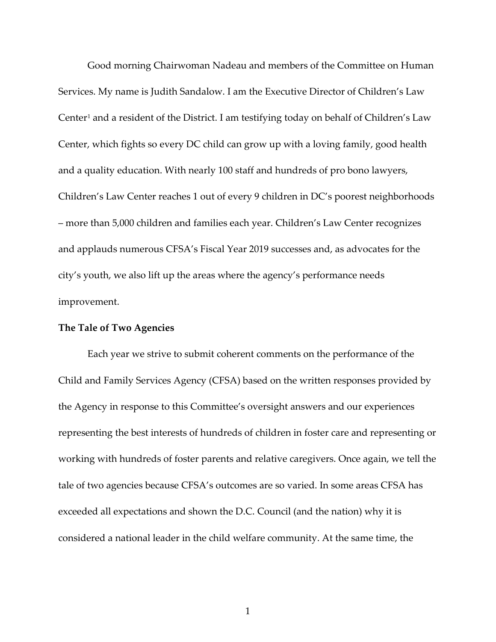Good morning Chairwoman Nadeau and members of the Committee on Human Services. My name is Judith Sandalow. I am the Executive Director of Children's Law Center<sup>[1](#page-6-0)</sup> and a resident of the District. I am testifying today on behalf of Children's Law Center, which fights so every DC child can grow up with a loving family, good health and a quality education. With nearly 100 staff and hundreds of pro bono lawyers, Children's Law Center reaches 1 out of every 9 children in DC's poorest neighborhoods – more than 5,000 children and families each year. Children's Law Center recognizes and applauds numerous CFSA's Fiscal Year 2019 successes and, as advocates for the city's youth, we also lift up the areas where the agency's performance needs improvement.

## **The Tale of Two Agencies**

Each year we strive to submit coherent comments on the performance of the Child and Family Services Agency (CFSA) based on the written responses provided by the Agency in response to this Committee's oversight answers and our experiences representing the best interests of hundreds of children in foster care and representing or working with hundreds of foster parents and relative caregivers. Once again, we tell the tale of two agencies because CFSA's outcomes are so varied. In some areas CFSA has exceeded all expectations and shown the D.C. Council (and the nation) why it is considered a national leader in the child welfare community. At the same time, the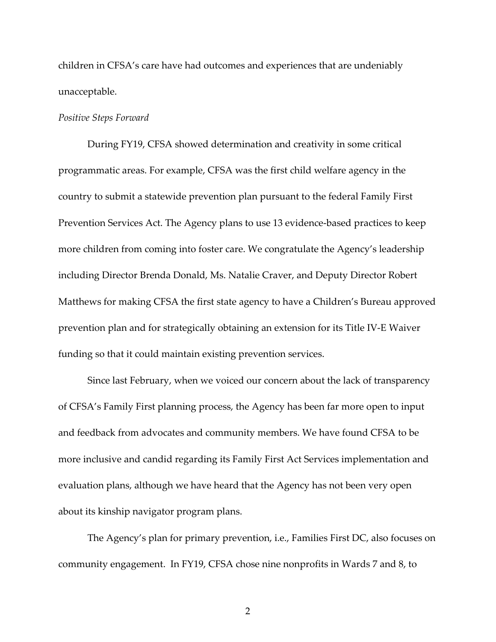children in CFSA's care have had outcomes and experiences that are undeniably unacceptable.

## *Positive Steps Forward*

During FY19, CFSA showed determination and creativity in some critical programmatic areas. For example, CFSA was the first child welfare agency in the country to submit a statewide prevention plan pursuant to the federal Family First Prevention Services Act. The Agency plans to use 13 evidence-based practices to keep more children from coming into foster care. We congratulate the Agency's leadership including Director Brenda Donald, Ms. Natalie Craver, and Deputy Director Robert Matthews for making CFSA the first state agency to have a Children's Bureau approved prevention plan and for strategically obtaining an extension for its Title IV-E Waiver funding so that it could maintain existing prevention services.

Since last February, when we voiced our concern about the lack of transparency of CFSA's Family First planning process, the Agency has been far more open to input and feedback from advocates and community members. We have found CFSA to be more inclusive and candid regarding its Family First Act Services implementation and evaluation plans, although we have heard that the Agency has not been very open about its kinship navigator program plans.

The Agency's plan for primary prevention, i.e., Families First DC, also focuses on community engagement. In FY19, CFSA chose nine nonprofits in Wards 7 and 8, to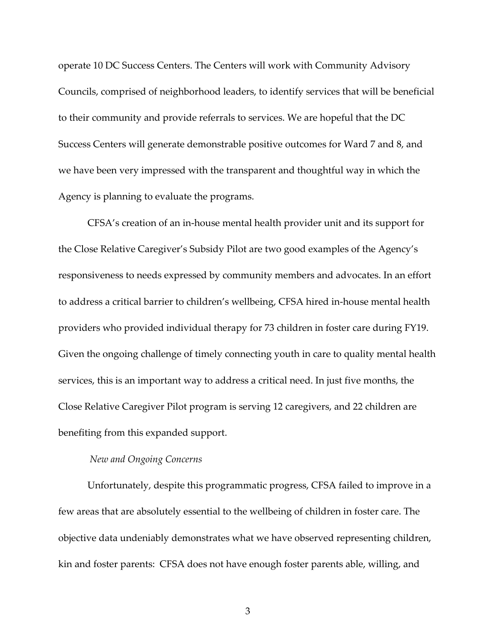operate 10 DC Success Centers. The Centers will work with Community Advisory Councils, comprised of neighborhood leaders, to identify services that will be beneficial to their community and provide referrals to services. We are hopeful that the DC Success Centers will generate demonstrable positive outcomes for Ward 7 and 8, and we have been very impressed with the transparent and thoughtful way in which the Agency is planning to evaluate the programs.

CFSA's creation of an in-house mental health provider unit and its support for the Close Relative Caregiver's Subsidy Pilot are two good examples of the Agency's responsiveness to needs expressed by community members and advocates. In an effort to address a critical barrier to children's wellbeing, CFSA hired in-house mental health providers who provided individual therapy for 73 children in foster care during FY19. Given the ongoing challenge of timely connecting youth in care to quality mental health services, this is an important way to address a critical need. In just five months, the Close Relative Caregiver Pilot program is serving 12 caregivers, and 22 children are benefiting from this expanded support.

## *New and Ongoing Concerns*

Unfortunately, despite this programmatic progress, CFSA failed to improve in a few areas that are absolutely essential to the wellbeing of children in foster care. The objective data undeniably demonstrates what we have observed representing children, kin and foster parents: CFSA does not have enough foster parents able, willing, and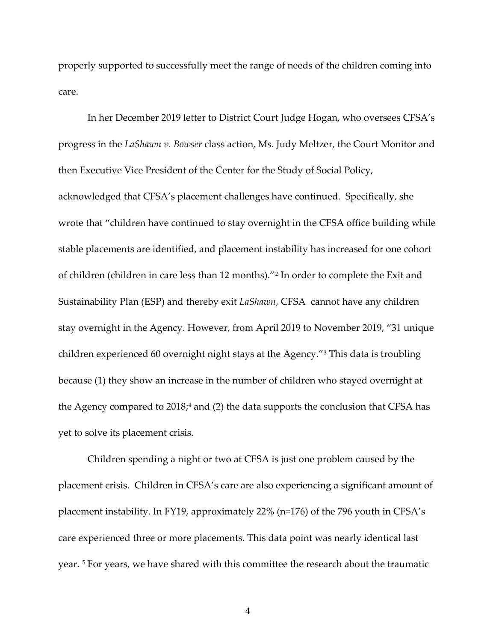properly supported to successfully meet the range of needs of the children coming into care.

In her December 2019 letter to District Court Judge Hogan, who oversees CFSA's progress in the *LaShawn v. Bowser* class action, Ms. Judy Meltzer, the Court Monitor and then Executive Vice President of the Center for the Study of Social Policy, acknowledged that CFSA's placement challenges have continued. Specifically, she wrote that "children have continued to stay overnight in the CFSA office building while stable placements are identified, and placement instability has increased for one cohort of children (children in care less than 12 months)."[2](#page-6-1) In order to complete the Exit and Sustainability Plan (ESP) and thereby exit *LaShawn*, CFSA cannot have any children stay overnight in the Agency. However, from April 2019 to November 2019, "31 unique children experienced 60 overnight night stays at the Agency."[3](#page-6-2) This data is troubling because (1) they show an increase in the number of children who stayed overnight at the Agency compared to 2018;<sup>[4](#page-6-3)</sup> and (2) the data supports the conclusion that CFSA has yet to solve its placement crisis.

Children spending a night or two at CFSA is just one problem caused by the placement crisis. Children in CFSA's care are also experiencing a significant amount of placement instability. In FY19, approximately 22% (n=176) of the 796 youth in CFSA's care experienced three or more placements. This data point was nearly identical last year. [5](#page-6-4) For years, we have shared with this committee the research about the traumatic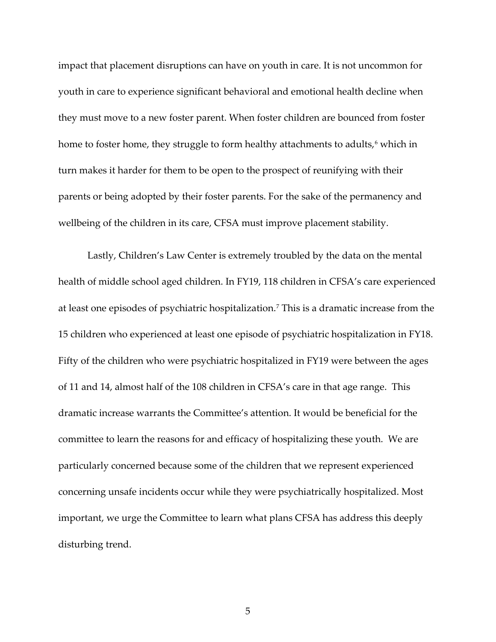impact that placement disruptions can have on youth in care. It is not uncommon for youth in care to experience significant behavioral and emotional health decline when they must move to a new foster parent. When foster children are bounced from foster home to foster home, they struggle to form healthy attachments to adults,<sup>[6](#page-6-5)</sup> which in turn makes it harder for them to be open to the prospect of reunifying with their parents or being adopted by their foster parents. For the sake of the permanency and wellbeing of the children in its care, CFSA must improve placement stability.

Lastly, Children's Law Center is extremely troubled by the data on the mental health of middle school aged children. In FY19, 118 children in CFSA's care experienced at least one episodes of psychiatric hospitalization.[7](#page-6-6) This is a dramatic increase from the 15 children who experienced at least one episode of psychiatric hospitalization in FY18. Fifty of the children who were psychiatric hospitalized in FY19 were between the ages of 11 and 14, almost half of the 108 children in CFSA's care in that age range. This dramatic increase warrants the Committee's attention. It would be beneficial for the committee to learn the reasons for and efficacy of hospitalizing these youth. We are particularly concerned because some of the children that we represent experienced concerning unsafe incidents occur while they were psychiatrically hospitalized. Most important, we urge the Committee to learn what plans CFSA has address this deeply disturbing trend.